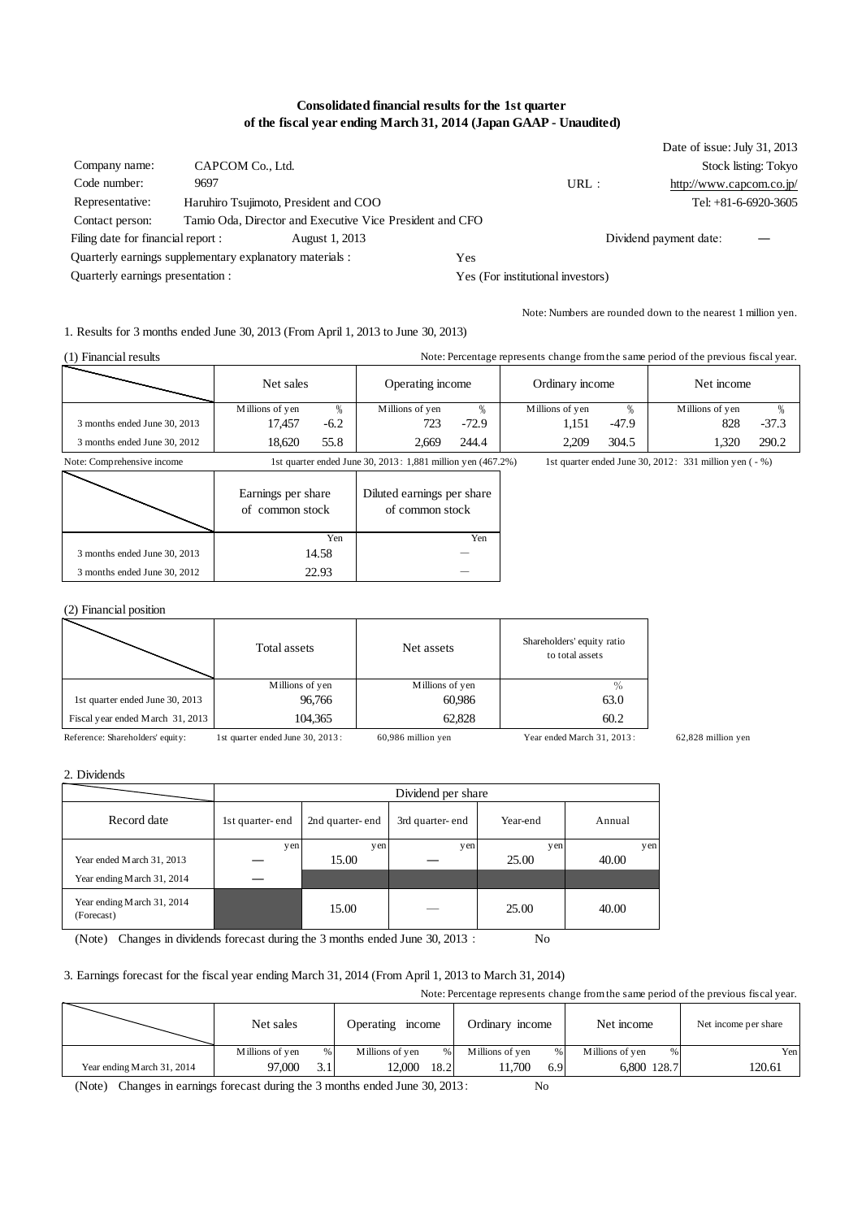#### **Consolidated financial results for the 1st quarter of the fiscal year ending March 31, 2014 (Japan GAAP - Unaudited)**

|                                                          |                                       |                                                          |     |      | Date of issue: July 31, 2013 |                        |
|----------------------------------------------------------|---------------------------------------|----------------------------------------------------------|-----|------|------------------------------|------------------------|
| Company name:                                            | CAPCOM Co., Ltd.                      |                                                          |     |      |                              | Stock listing: Tokyo   |
| Code number:                                             | 9697                                  |                                                          |     | URL: | http://www.capcom.co.jp/     |                        |
| Representative:                                          | Haruhiro Tsujimoto, President and COO |                                                          |     |      |                              | Tel: $+81-6-6920-3605$ |
| Contact person:                                          |                                       | Tamio Oda, Director and Executive Vice President and CFO |     |      |                              |                        |
| Filing date for financial report :                       |                                       | August 1, 2013                                           |     |      | Dividend payment date:       |                        |
| Quarterly earnings supplementary explanatory materials : |                                       |                                                          | Yes |      |                              |                        |
| Quarterly earnings presentation :                        |                                       | Yes (For institutional investors)                        |     |      |                              |                        |

Note: Numbers are rounded down to the nearest 1 million yen.

1. Results for 3 months ended June 30, 2013 (From April 1, 2013 to June 30, 2013)

| (1) Financial results        | Note: Percentage represents change from the same period of the previous fiscal year. |        |                  |         |                 |         |                 |         |
|------------------------------|--------------------------------------------------------------------------------------|--------|------------------|---------|-----------------|---------|-----------------|---------|
|                              | Net sales                                                                            |        | Operating income |         | Ordinary income |         | Net income      |         |
|                              | Millions of yen                                                                      | %      | Millions of yen  | %       | Millions of yen |         | Millions of yen |         |
| 3 months ended June 30, 2013 | 17.457                                                                               | $-6.2$ | 723              | $-72.9$ | 1.151           | $-47.9$ | 828             | $-37.3$ |
| 3 months ended June 30, 2012 | 18.620                                                                               | 55.8   | 2.669            | 244.4   | 2.209           | 304.5   | .320            | 290.2   |

Note: Comprehensive income 1st quarter ended June 30, 2013: 1,881 million yen (467.2%) 1st quarter ended June 30, 2012: 331 million yen ( - %)

|                              | Earnings per share<br>of common stock | Diluted earnings per share<br>of common stock |
|------------------------------|---------------------------------------|-----------------------------------------------|
|                              | Yen                                   | Yen                                           |
| 3 months ended June 30, 2013 | 14.58                                 |                                               |
| 3 months ended June 30, 2012 | 22.93                                 |                                               |

(2) Financial position

|                                  | Total assets    | Net assets      | Shareholders' equity ratio<br>to total assets |
|----------------------------------|-----------------|-----------------|-----------------------------------------------|
|                                  | Millions of yen | Millions of yen |                                               |
| 1st quarter ended June 30, 2013  | 96,766          | 60,986          | 63.0                                          |
| Fiscal year ended March 31, 2013 | 104,365         | 62.828          | 60.2                                          |
|                                  |                 |                 |                                               |

Reference: Shareholders' equity: 1st quarter ended June 30, 2013: 60,986 million yen Year ended March 31, 2013: 62,828 million yen

2. Dividends

|                                          |                 | Dividend per share |                 |          |        |  |
|------------------------------------------|-----------------|--------------------|-----------------|----------|--------|--|
| Record date                              | 1st quarter-end | 2nd quarter-end    | 3rd quarter-end | Year-end | Annual |  |
|                                          | yen             | yen                | yen             | yen      | yen    |  |
| Year ended March 31, 2013                |                 | 15.00              |                 | 25.00    | 40.00  |  |
| Year ending March 31, 2014               |                 |                    |                 |          |        |  |
| Year ending March 31, 2014<br>(Forecast) |                 | 15.00              |                 | 25.00    | 40.00  |  |

(Note) Changes in dividends forecast during the 3 months ended June 30, 2013: No

#### 3. Earnings forecast for the fiscal year ending March 31, 2014 (From April 1, 2013 to March 31, 2014)

Note: Percentage represents change from the same period of the previous fiscal year. Millions of yen % Millions of yen % Millions of yen % Millions of yen % Yer 6,800 128.7 Ordinary income 120.61 Net income per share Operating income Net sales Net income 97,000 3.1 12,000 18.2 11,700 6.9 Year ending March 31, 2014

(Note) Changes in earnings forecast during the 3 months ended June 30, 2013: No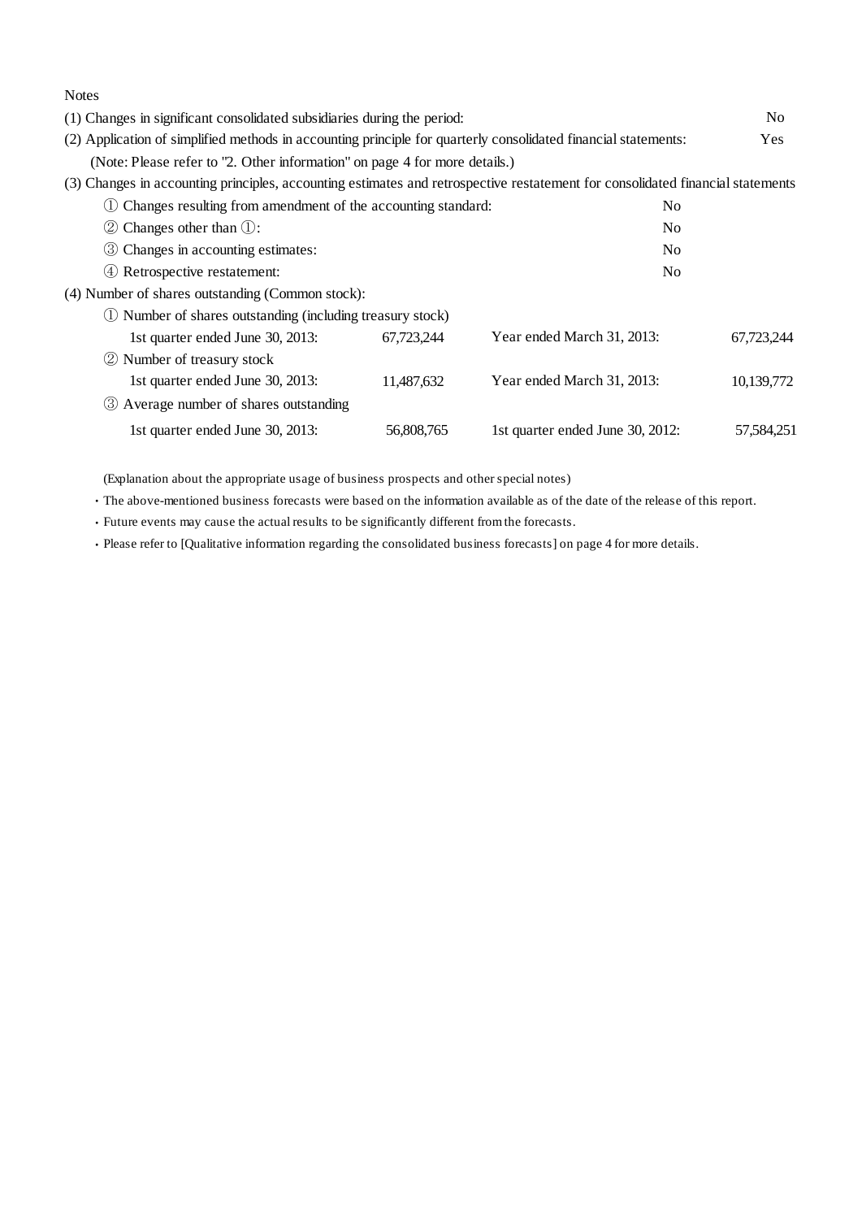| <b>Notes</b>                                                                                                                   |            |                                  |                |
|--------------------------------------------------------------------------------------------------------------------------------|------------|----------------------------------|----------------|
| (1) Changes in significant consolidated subsidiaries during the period:                                                        |            |                                  | N <sub>0</sub> |
| (2) Application of simplified methods in accounting principle for quarterly consolidated financial statements:                 |            |                                  | <b>Yes</b>     |
| (Note: Please refer to "2. Other information" on page 4 for more details.)                                                     |            |                                  |                |
| (3) Changes in accounting principles, accounting estimates and retrospective restatement for consolidated financial statements |            |                                  |                |
| Changes resulting from amendment of the accounting standard:                                                                   |            | N <sub>0</sub>                   |                |
| Changes other than $\mathbb{O}$ :<br>(2)                                                                                       |            | N <sub>0</sub>                   |                |
| Changes in accounting estimates:<br>(3)                                                                                        |            | N <sub>0</sub>                   |                |
| Retrospective restatement:<br>(4)                                                                                              |            | No                               |                |
| (4) Number of shares outstanding (Common stock):                                                                               |            |                                  |                |
| (1) Number of shares outstanding (including treasury stock)                                                                    |            |                                  |                |
| 1st quarter ended June 30, 2013:                                                                                               | 67,723,244 | Year ended March 31, 2013:       | 67,723,244     |
| 2 Number of treasury stock                                                                                                     |            |                                  |                |
| 1st quarter ended June 30, 2013:                                                                                               | 11,487,632 | Year ended March 31, 2013:       | 10,139,772     |
| 3 Average number of shares outstanding                                                                                         |            |                                  |                |
| 1st quarter ended June 30, 2013:                                                                                               | 56,808,765 | 1st quarter ended June 30, 2012: | 57,584,251     |

(Explanation about the appropriate usage of business prospects and other special notes)

・The above-mentioned business forecasts were based on the information available as of the date of the release of this report.

・Future events may cause the actual results to be significantly different from the forecasts.

・Please refer to [Qualitative information regarding the consolidated business forecasts] on page 4 for more details.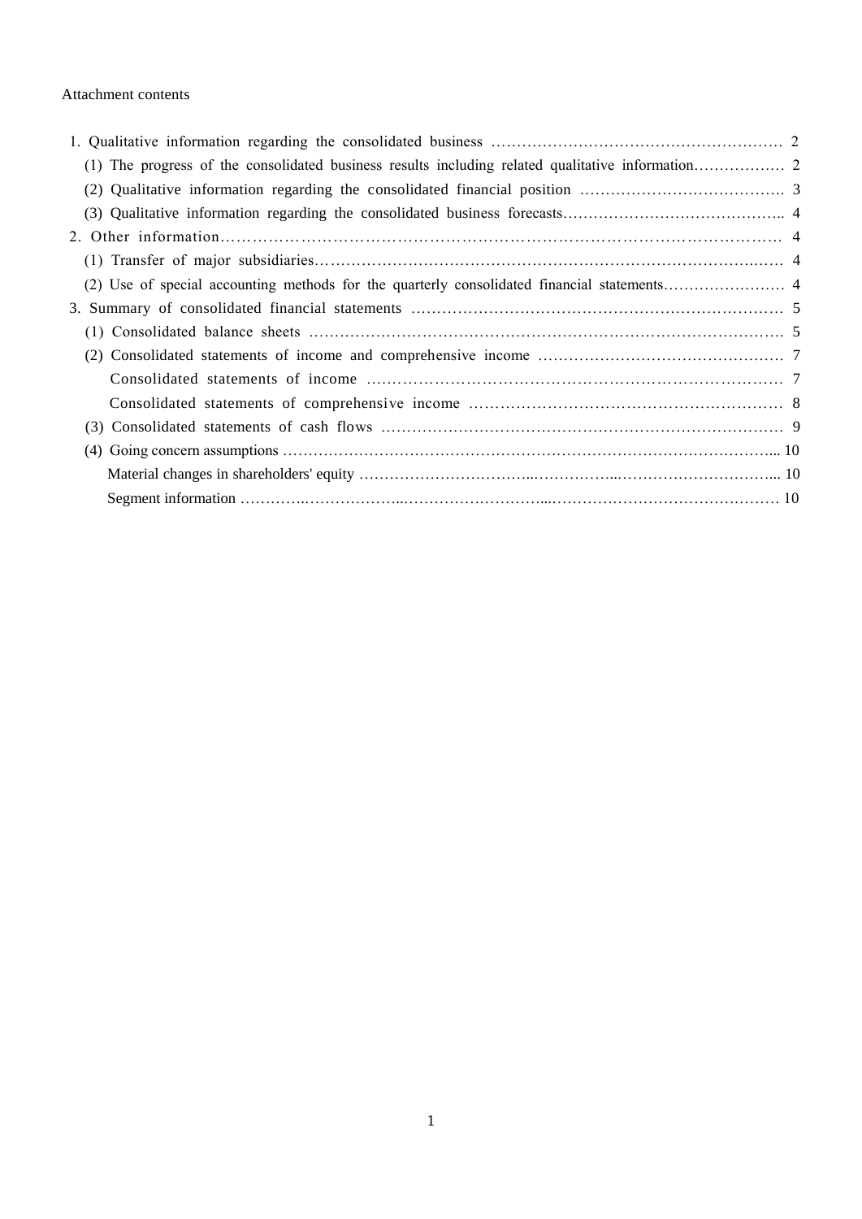#### Attachment contents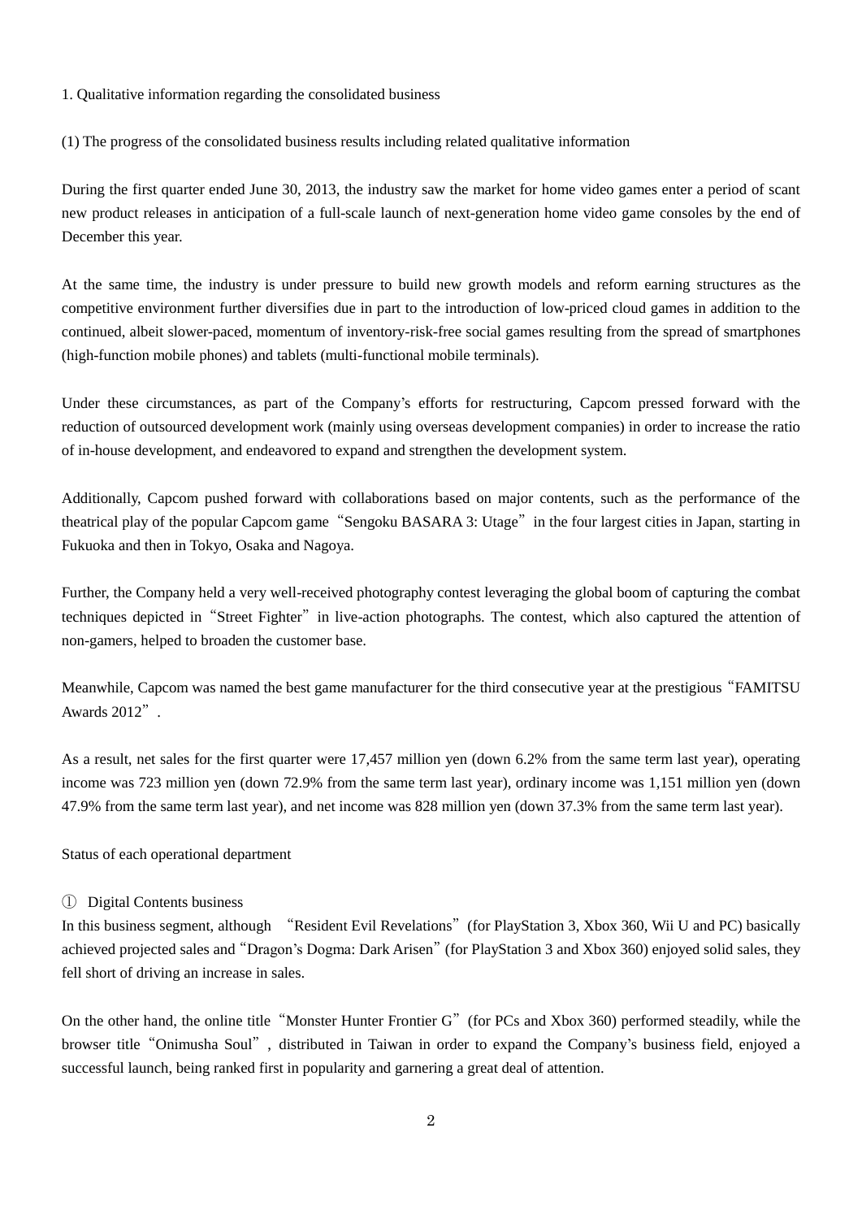- 1. Qualitative information regarding the consolidated business
- (1) The progress of the consolidated business results including related qualitative information

During the first quarter ended June 30, 2013, the industry saw the market for home video games enter a period of scant new product releases in anticipation of a full-scale launch of next-generation home video game consoles by the end of December this year.

At the same time, the industry is under pressure to build new growth models and reform earning structures as the competitive environment further diversifies due in part to the introduction of low-priced cloud games in addition to the continued, albeit slower-paced, momentum of inventory-risk-free social games resulting from the spread of smartphones (high-function mobile phones) and tablets (multi-functional mobile terminals).

Under these circumstances, as part of the Company's efforts for restructuring, Capcom pressed forward with the reduction of outsourced development work (mainly using overseas development companies) in order to increase the ratio of in-house development, and endeavored to expand and strengthen the development system.

Additionally, Capcom pushed forward with collaborations based on major contents, such as the performance of the theatrical play of the popular Capcom game"Sengoku BASARA 3: Utage"in the four largest cities in Japan, starting in Fukuoka and then in Tokyo, Osaka and Nagoya.

Further, the Company held a very well-received photography contest leveraging the global boom of capturing the combat techniques depicted in "Street Fighter" in live-action photographs. The contest, which also captured the attention of non-gamers, helped to broaden the customer base.

Meanwhile, Capcom was named the best game manufacturer for the third consecutive year at the prestigious"FAMITSU Awards 2012".

As a result, net sales for the first quarter were 17,457 million yen (down 6.2% from the same term last year), operating income was 723 million yen (down 72.9% from the same term last year), ordinary income was 1,151 million yen (down 47.9% from the same term last year), and net income was 828 million yen (down 37.3% from the same term last year).

#### Status of each operational department

#### ① Digital Contents business

In this business segment, although "Resident Evil Revelations"(for PlayStation 3, Xbox 360, Wii U and PC) basically achieved projected sales and"Dragon's Dogma: Dark Arisen"(for PlayStation 3 and Xbox 360) enjoyed solid sales, they fell short of driving an increase in sales.

On the other hand, the online title "Monster Hunter Frontier G" (for PCs and Xbox 360) performed steadily, while the browser title"Onimusha Soul", distributed in Taiwan in order to expand the Company's business field, enjoyed a successful launch, being ranked first in popularity and garnering a great deal of attention.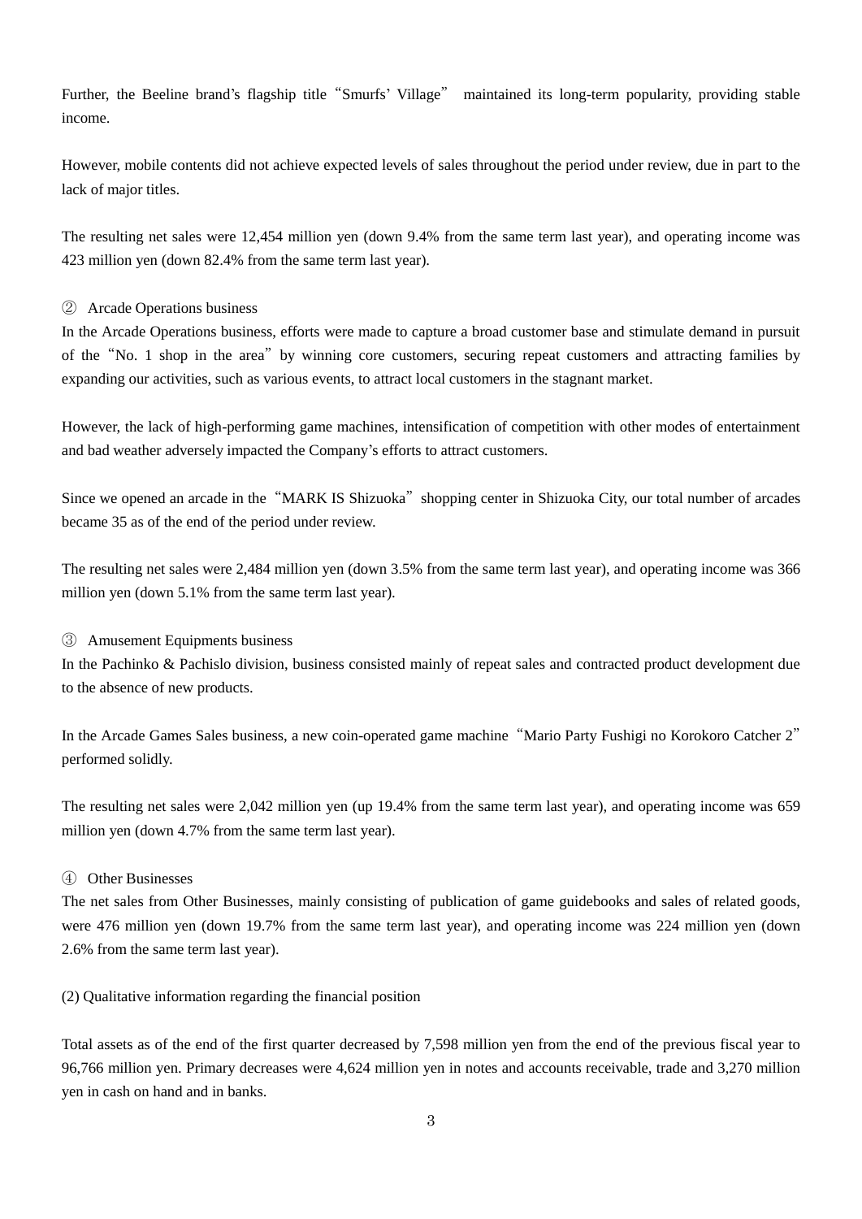Further, the Beeline brand's flagship title"Smurfs' Village" maintained its long-term popularity, providing stable income.

However, mobile contents did not achieve expected levels of sales throughout the period under review, due in part to the lack of major titles.

The resulting net sales were 12,454 million yen (down 9.4% from the same term last year), and operating income was 423 million yen (down 82.4% from the same term last year).

### ② Arcade Operations business

In the Arcade Operations business, efforts were made to capture a broad customer base and stimulate demand in pursuit of the"No. 1 shop in the area"by winning core customers, securing repeat customers and attracting families by expanding our activities, such as various events, to attract local customers in the stagnant market.

However, the lack of high-performing game machines, intensification of competition with other modes of entertainment and bad weather adversely impacted the Company's efforts to attract customers.

Since we opened an arcade in the "MARK IS Shizuoka" shopping center in Shizuoka City, our total number of arcades became 35 as of the end of the period under review.

The resulting net sales were 2,484 million yen (down 3.5% from the same term last year), and operating income was 366 million yen (down 5.1% from the same term last year).

#### ③ Amusement Equipments business

In the Pachinko & Pachislo division, business consisted mainly of repeat sales and contracted product development due to the absence of new products.

In the Arcade Games Sales business, a new coin-operated game machine"Mario Party Fushigi no Korokoro Catcher 2" performed solidly.

The resulting net sales were 2,042 million yen (up 19.4% from the same term last year), and operating income was 659 million yen (down 4.7% from the same term last year).

### ④ Other Businesses

The net sales from Other Businesses, mainly consisting of publication of game guidebooks and sales of related goods, were 476 million yen (down 19.7% from the same term last year), and operating income was 224 million yen (down 2.6% from the same term last year).

(2) Qualitative information regarding the financial position

Total assets as of the end of the first quarter decreased by 7,598 million yen from the end of the previous fiscal year to 96,766 million yen. Primary decreases were 4,624 million yen in notes and accounts receivable, trade and 3,270 million yen in cash on hand and in banks.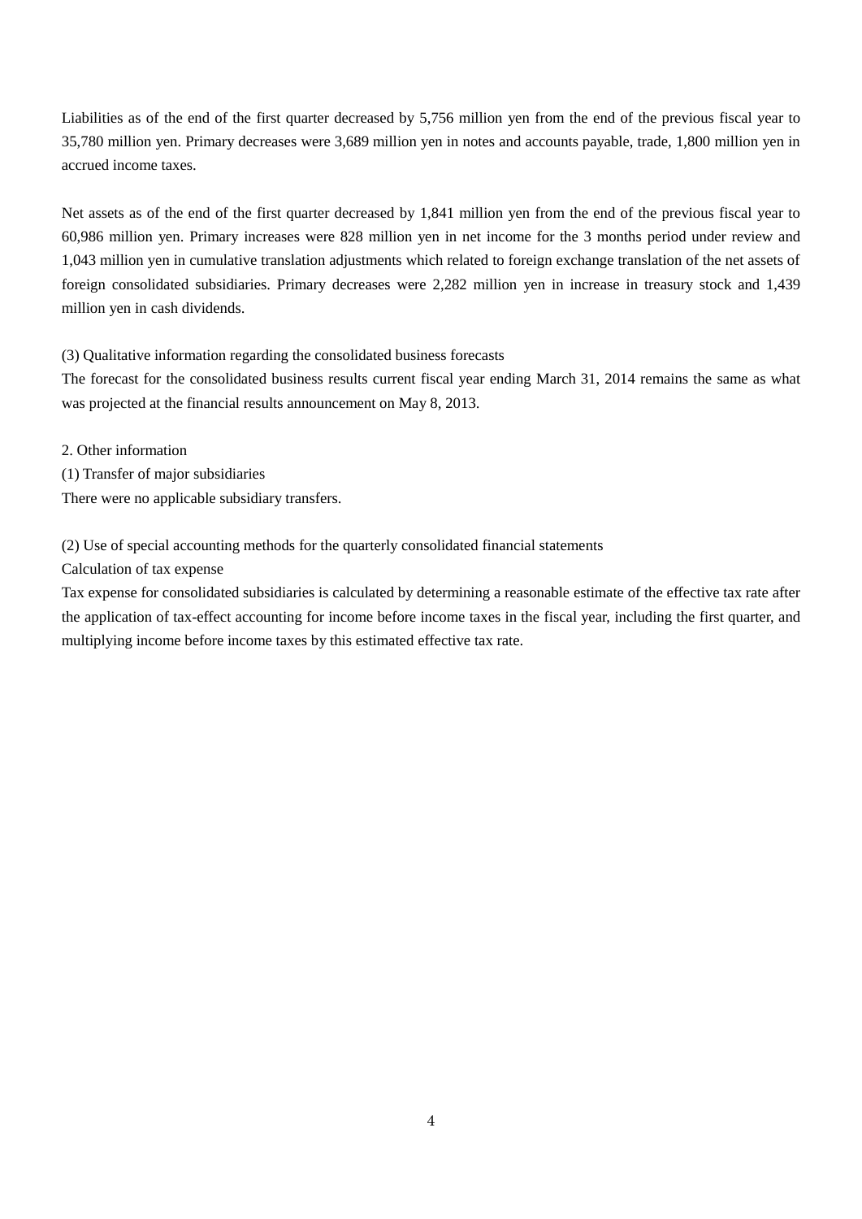Liabilities as of the end of the first quarter decreased by 5,756 million yen from the end of the previous fiscal year to 35,780 million yen. Primary decreases were 3,689 million yen in notes and accounts payable, trade, 1,800 million yen in accrued income taxes.

Net assets as of the end of the first quarter decreased by 1,841 million yen from the end of the previous fiscal year to 60,986 million yen. Primary increases were 828 million yen in net income for the 3 months period under review and 1,043 million yen in cumulative translation adjustments which related to foreign exchange translation of the net assets of foreign consolidated subsidiaries. Primary decreases were 2,282 million yen in increase in treasury stock and 1,439 million yen in cash dividends.

(3) Qualitative information regarding the consolidated business forecasts

The forecast for the consolidated business results current fiscal year ending March 31, 2014 remains the same as what was projected at the financial results announcement on May 8, 2013.

2. Other information (1) Transfer of major subsidiaries There were no applicable subsidiary transfers.

## (2) Use of special accounting methods for the quarterly consolidated financial statements

Calculation of tax expense

Tax expense for consolidated subsidiaries is calculated by determining a reasonable estimate of the effective tax rate after the application of tax-effect accounting for income before income taxes in the fiscal year, including the first quarter, and multiplying income before income taxes by this estimated effective tax rate.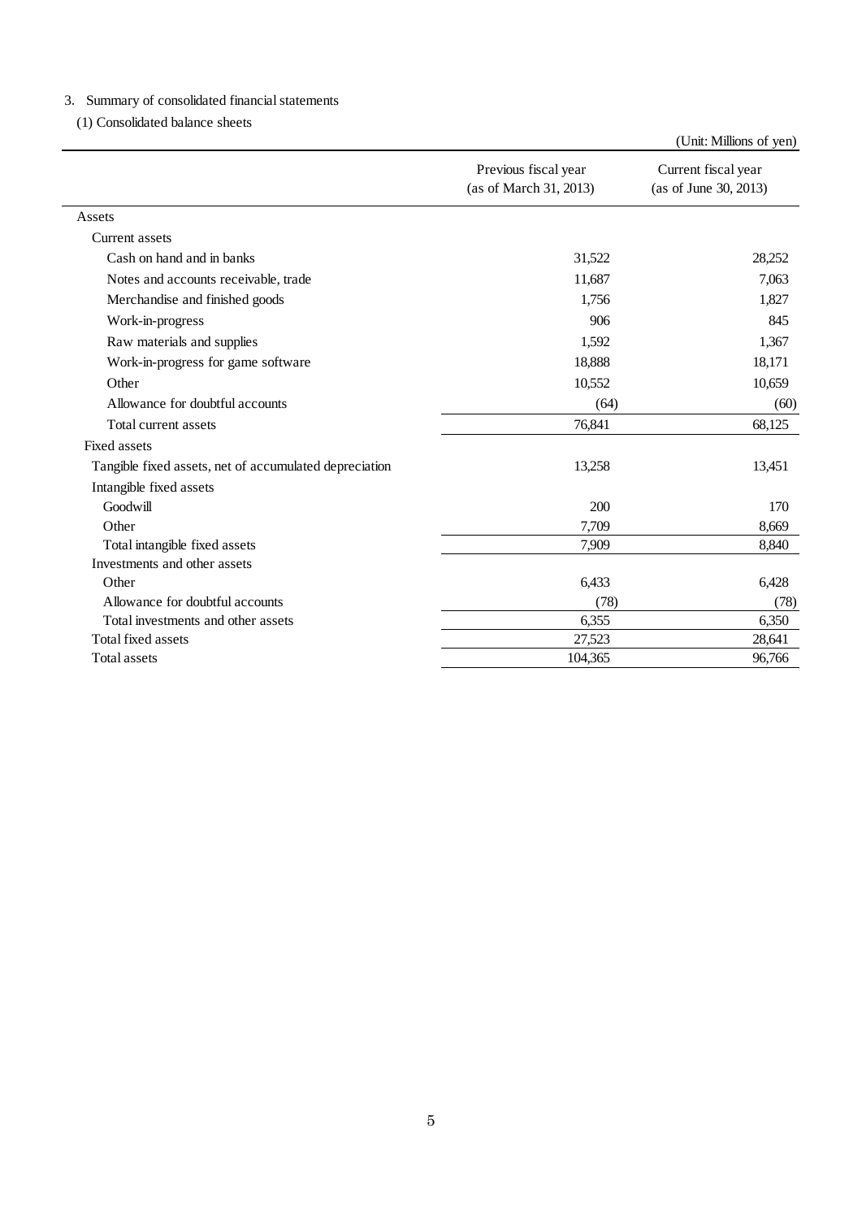# 3.Summary of consolidated financial statements

(1) Consolidated balance sheets

|                                                        |                                                | (Unit: Millions of yen)                      |
|--------------------------------------------------------|------------------------------------------------|----------------------------------------------|
|                                                        | Previous fiscal year<br>(as of March 31, 2013) | Current fiscal year<br>(as of June 30, 2013) |
| Assets                                                 |                                                |                                              |
| Current assets                                         |                                                |                                              |
| Cash on hand and in banks                              | 31,522                                         | 28,252                                       |
| Notes and accounts receivable, trade                   | 11,687                                         | 7,063                                        |
| Merchandise and finished goods                         | 1,756                                          | 1,827                                        |
| Work-in-progress                                       | 906                                            | 845                                          |
| Raw materials and supplies                             | 1,592                                          | 1,367                                        |
| Work-in-progress for game software                     | 18,888                                         | 18,171                                       |
| Other                                                  | 10,552                                         | 10,659                                       |
| Allowance for doubtful accounts                        | (64)                                           | (60)                                         |
| Total current assets                                   | 76,841                                         | 68,125                                       |
| <b>Fixed assets</b>                                    |                                                |                                              |
| Tangible fixed assets, net of accumulated depreciation | 13,258                                         | 13,451                                       |
| Intangible fixed assets                                |                                                |                                              |
| Goodwill                                               | 200                                            | 170                                          |
| Other                                                  | 7,709                                          | 8,669                                        |
| Total intangible fixed assets                          | 7,909                                          | 8,840                                        |
| Investments and other assets                           |                                                |                                              |
| Other                                                  | 6,433                                          | 6,428                                        |
| Allowance for doubtful accounts                        | (78)                                           | (78)                                         |
| Total investments and other assets                     | 6,355                                          | 6,350                                        |
| Total fixed assets                                     | 27,523                                         | 28,641                                       |
| <b>Total assets</b>                                    | 104,365                                        | 96,766                                       |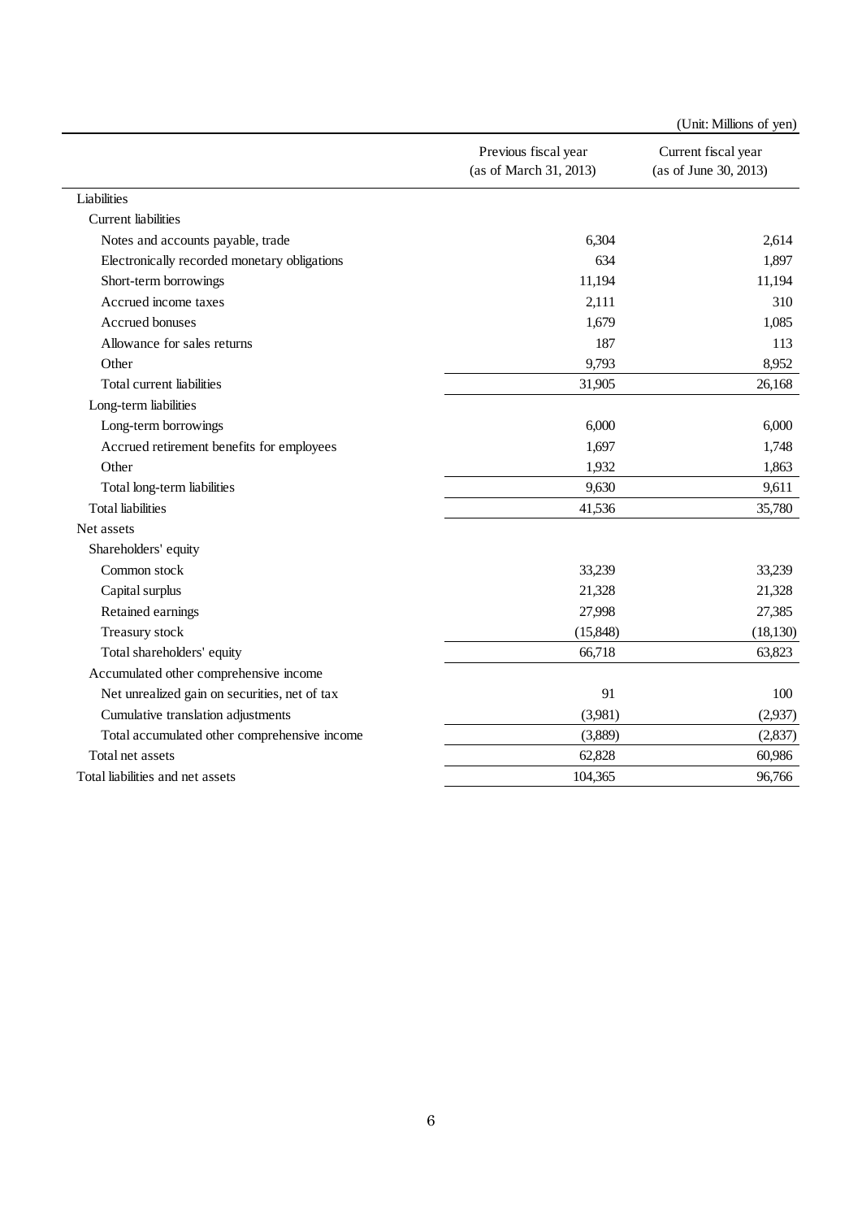|                                               |                                                | (Unit: Millions of yen)                      |
|-----------------------------------------------|------------------------------------------------|----------------------------------------------|
|                                               | Previous fiscal year<br>(as of March 31, 2013) | Current fiscal year<br>(as of June 30, 2013) |
| Liabilities                                   |                                                |                                              |
| <b>Current liabilities</b>                    |                                                |                                              |
| Notes and accounts payable, trade             | 6,304                                          | 2,614                                        |
| Electronically recorded monetary obligations  | 634                                            | 1,897                                        |
| Short-term borrowings                         | 11,194                                         | 11,194                                       |
| Accrued income taxes                          | 2,111                                          | 310                                          |
| Accrued bonuses                               | 1,679                                          | 1,085                                        |
| Allowance for sales returns                   | 187                                            | 113                                          |
| Other                                         | 9,793                                          | 8,952                                        |
| Total current liabilities                     | 31,905                                         | 26,168                                       |
| Long-term liabilities                         |                                                |                                              |
| Long-term borrowings                          | 6,000                                          | 6,000                                        |
| Accrued retirement benefits for employees     | 1,697                                          | 1,748                                        |
| Other                                         | 1,932                                          | 1,863                                        |
| Total long-term liabilities                   | 9,630                                          | 9,611                                        |
| <b>Total liabilities</b>                      | 41,536                                         | 35,780                                       |
| Net assets                                    |                                                |                                              |
| Shareholders' equity                          |                                                |                                              |
| Common stock                                  | 33,239                                         | 33,239                                       |
| Capital surplus                               | 21,328                                         | 21,328                                       |
| Retained earnings                             | 27,998                                         | 27,385                                       |
| Treasury stock                                | (15, 848)                                      | (18, 130)                                    |
| Total shareholders' equity                    | 66,718                                         | 63,823                                       |
| Accumulated other comprehensive income        |                                                |                                              |
| Net unrealized gain on securities, net of tax | 91                                             | 100                                          |
| Cumulative translation adjustments            | (3,981)                                        | (2,937)                                      |
| Total accumulated other comprehensive income  | (3,889)                                        | (2,837)                                      |
| Total net assets                              | 62,828                                         | 60,986                                       |
| Total liabilities and net assets              | 104,365                                        | 96,766                                       |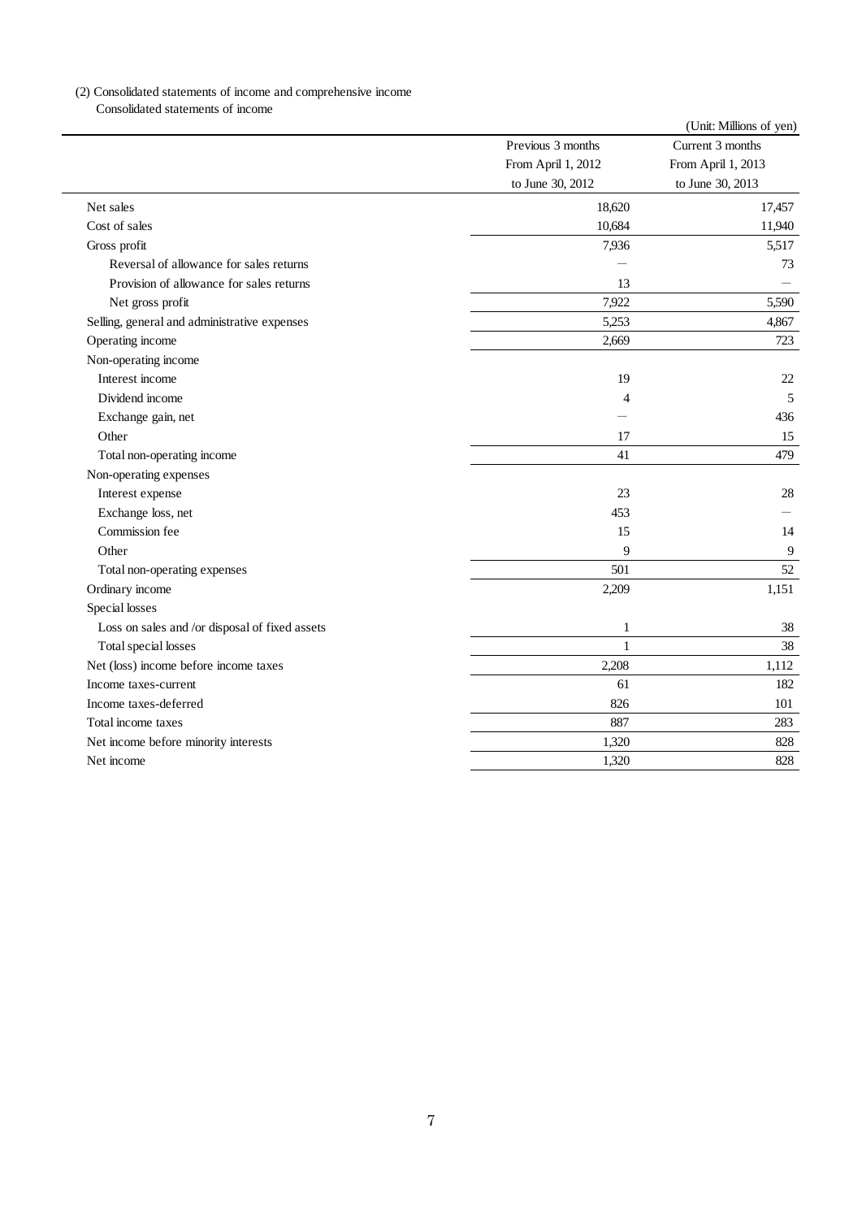## (2) Consolidated statements of income and comprehensive income

Consolidated statements of income

|                                                |                    | (Unit: Millions of yen) |
|------------------------------------------------|--------------------|-------------------------|
|                                                | Previous 3 months  | Current 3 months        |
|                                                | From April 1, 2012 | From April 1, 2013      |
|                                                | to June 30, 2012   | to June 30, 2013        |
| Net sales                                      | 18,620             | 17,457                  |
| Cost of sales                                  | 10,684             | 11,940                  |
| Gross profit                                   | 7,936              | 5,517                   |
| Reversal of allowance for sales returns        |                    | 73                      |
| Provision of allowance for sales returns       | 13                 |                         |
| Net gross profit                               | 7,922              | 5,590                   |
| Selling, general and administrative expenses   | 5,253              | 4,867                   |
| Operating income                               | 2,669              | 723                     |
| Non-operating income                           |                    |                         |
| Interest income                                | 19                 | 22                      |
| Dividend income                                | 4                  | 5                       |
| Exchange gain, net                             |                    | 436                     |
| Other                                          | 17                 | 15                      |
| Total non-operating income                     | 41                 | 479                     |
| Non-operating expenses                         |                    |                         |
| Interest expense                               | 23                 | 28                      |
| Exchange loss, net                             | 453                |                         |
| Commission fee                                 | 15                 | 14                      |
| Other                                          | 9                  | 9                       |
| Total non-operating expenses                   | 501                | 52                      |
| Ordinary income                                | 2,209              | 1,151                   |
| Special losses                                 |                    |                         |
| Loss on sales and /or disposal of fixed assets | $\mathbf{1}$       | 38                      |
| Total special losses                           | $\mathbf{1}$       | 38                      |
| Net (loss) income before income taxes          | 2,208              | 1,112                   |
| Income taxes-current                           | 61                 | 182                     |
| Income taxes-deferred                          | 826                | 101                     |
| Total income taxes                             | 887                | 283                     |
| Net income before minority interests           | 1,320              | 828                     |
| Net income                                     | 1.320              | 828                     |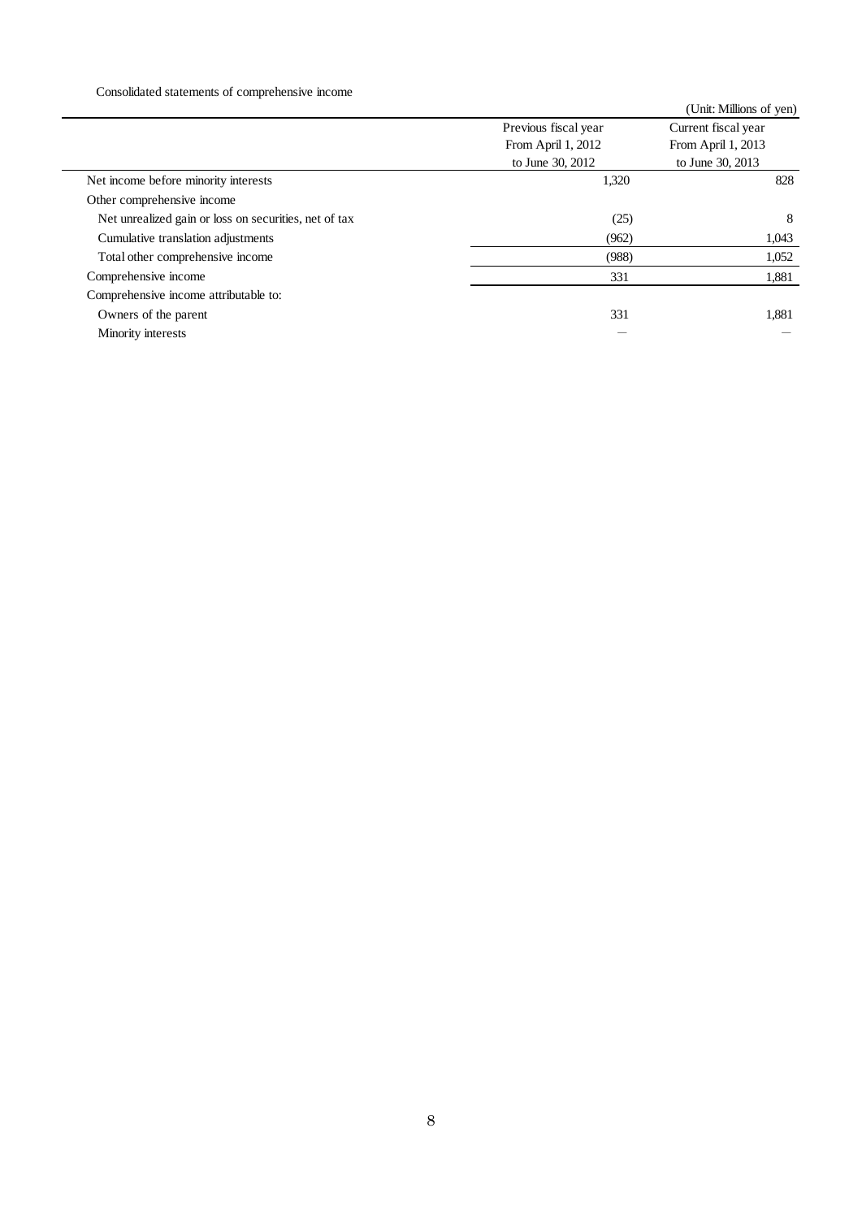Consolidated statements of comprehensive income

|                                                       |                      | (Unit: Millions of yen) |
|-------------------------------------------------------|----------------------|-------------------------|
|                                                       | Previous fiscal year | Current fiscal year     |
|                                                       | From April 1, 2012   | From April 1, 2013      |
|                                                       | to June 30, 2012     | to June 30, 2013        |
| Net income before minority interests                  | 1,320                | 828                     |
| Other comprehensive income                            |                      |                         |
| Net unrealized gain or loss on securities, net of tax | (25)                 | 8                       |
| Cumulative translation adjustments                    | (962)                | 1,043                   |
| Total other comprehensive income                      | (988)                | 1,052                   |
| Comprehensive income                                  | 331                  | 1,881                   |
| Comprehensive income attributable to:                 |                      |                         |
| Owners of the parent                                  | 331                  | 1,881                   |
| Minority interests                                    |                      |                         |
|                                                       |                      |                         |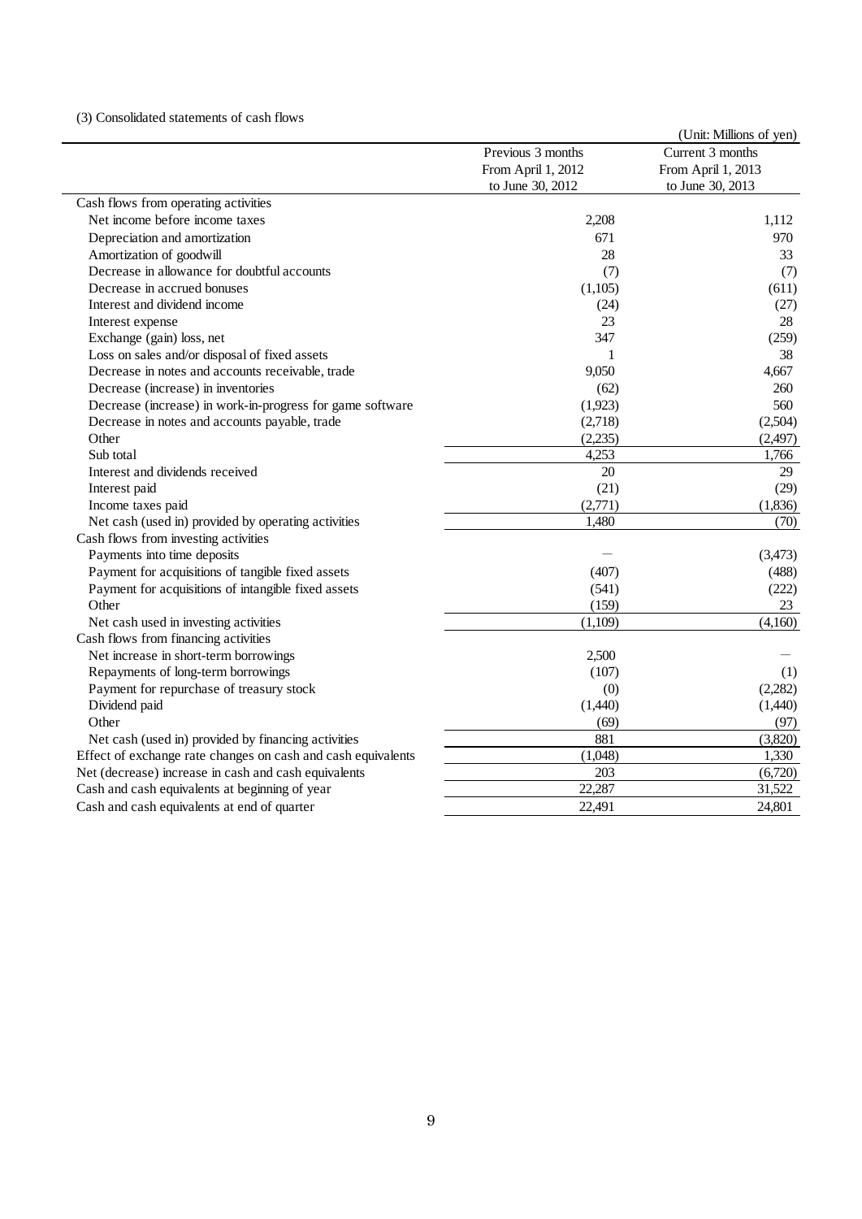#### (3) Consolidated statements of cash flows

|                                                              |                    | (Unit: Millions of yen) |
|--------------------------------------------------------------|--------------------|-------------------------|
|                                                              | Previous 3 months  | Current 3 months        |
|                                                              | From April 1, 2012 | From April 1, 2013      |
|                                                              | to June 30, 2012   | to June 30, 2013        |
| Cash flows from operating activities                         |                    |                         |
| Net income before income taxes                               | 2,208              | 1,112                   |
| Depreciation and amortization                                | 671                | 970                     |
| Amortization of goodwill                                     | 28                 | 33                      |
| Decrease in allowance for doubtful accounts                  | (7)                | (7)                     |
| Decrease in accrued bonuses                                  | (1,105)            | (611)                   |
| Interest and dividend income                                 | (24)               | (27)                    |
| Interest expense                                             | 23                 | 28                      |
| Exchange (gain) loss, net                                    | 347                | (259)                   |
| Loss on sales and/or disposal of fixed assets                | 1                  | 38                      |
| Decrease in notes and accounts receivable, trade             | 9,050              | 4.667                   |
| Decrease (increase) in inventories                           | (62)               | 260                     |
| Decrease (increase) in work-in-progress for game software    | (1,923)            | 560                     |
| Decrease in notes and accounts payable, trade                | (2,718)            | (2,504)                 |
| Other                                                        | (2,235)            | (2,497)                 |
| Sub total                                                    | 4,253              | 1,766                   |
| Interest and dividends received                              | 20                 | 29                      |
| Interest paid                                                | (21)               | (29)                    |
| Income taxes paid                                            | (2,771)            | (1,836)                 |
| Net cash (used in) provided by operating activities          | 1,480              | (70)                    |
| Cash flows from investing activities                         |                    |                         |
| Payments into time deposits                                  |                    | (3,473)                 |
| Payment for acquisitions of tangible fixed assets            | (407)              | (488)                   |
| Payment for acquisitions of intangible fixed assets          | (541)              | (222)                   |
| Other                                                        | (159)              | 23                      |
| Net cash used in investing activities                        | (1,109)            | (4,160)                 |
| Cash flows from financing activities                         |                    |                         |
| Net increase in short-term borrowings                        | 2,500              |                         |
| Repayments of long-term borrowings                           | (107)              | (1)                     |
| Payment for repurchase of treasury stock                     | (0)                | (2,282)                 |
| Dividend paid                                                | (1,440)            | (1,440)                 |
| Other                                                        | (69)               | (97)                    |
| Net cash (used in) provided by financing activities          | 881                | (3,820)                 |
| Effect of exchange rate changes on cash and cash equivalents | (1,048)            | 1,330                   |
| Net (decrease) increase in cash and cash equivalents         | 203                | (6,720)                 |
| Cash and cash equivalents at beginning of year               | 22,287             | 31,522                  |
| Cash and cash equivalents at end of quarter                  | 22,491             | 24,801                  |